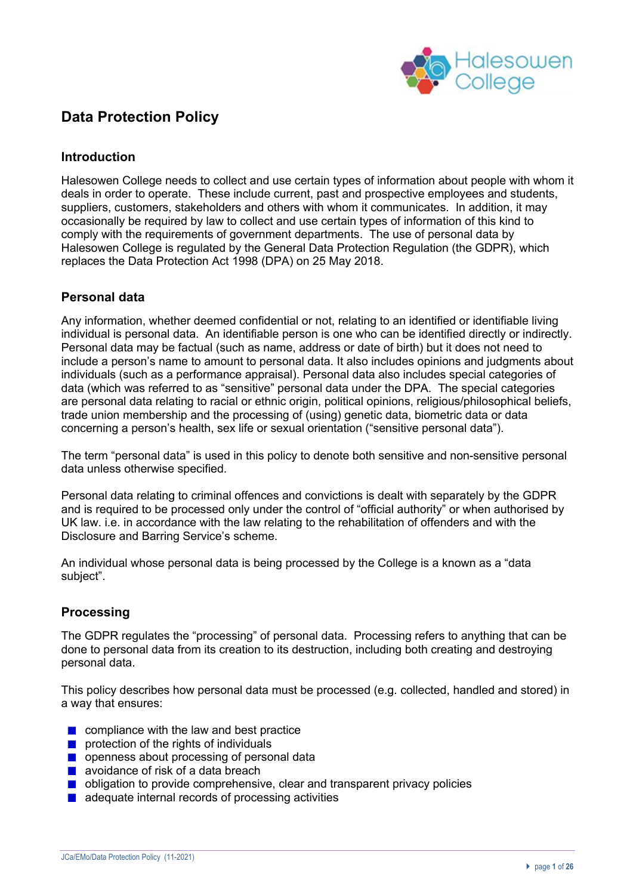

# **Data Protection Policy**

# **Introduction**

Halesowen College needs to collect and use certain types of information about people with whom it deals in order to operate. These include current, past and prospective employees and students, suppliers, customers, stakeholders and others with whom it communicates. In addition, it may occasionally be required by law to collect and use certain types of information of this kind to comply with the requirements of government departments. The use of personal data by Halesowen College is regulated by the General Data Protection Regulation (the GDPR), which replaces the Data Protection Act 1998 (DPA) on 25 May 2018.

## **Personal data**

Any information, whether deemed confidential or not, relating to an identified or identifiable living individual is personal data. An identifiable person is one who can be identified directly or indirectly. Personal data may be factual (such as name, address or date of birth) but it does not need to include a person's name to amount to personal data. It also includes opinions and judgments about individuals (such as a performance appraisal). Personal data also includes special categories of data (which was referred to as "sensitive" personal data under the DPA. The special categories are personal data relating to racial or ethnic origin, political opinions, religious/philosophical beliefs, trade union membership and the processing of (using) genetic data, biometric data or data concerning a person's health, sex life or sexual orientation ("sensitive personal data").

The term "personal data" is used in this policy to denote both sensitive and non-sensitive personal data unless otherwise specified.

Personal data relating to criminal offences and convictions is dealt with separately by the GDPR and is required to be processed only under the control of "official authority" or when authorised by UK law. i.e. in accordance with the law relating to the rehabilitation of offenders and with the Disclosure and Barring Service's scheme.

An individual whose personal data is being processed by the College is a known as a "data subject".

## **Processing**

The GDPR regulates the "processing" of personal data. Processing refers to anything that can be done to personal data from its creation to its destruction, including both creating and destroying personal data.

This policy describes how personal data must be processed (e.g. collected, handled and stored) in a way that ensures:

- **n** compliance with the law and best practice
- **P** protection of the rights of individuals
- **Openness about processing of personal data**
- **a** avoidance of risk of a data breach
- **D** obligation to provide comprehensive, clear and transparent privacy policies
- $\blacksquare$  adequate internal records of processing activities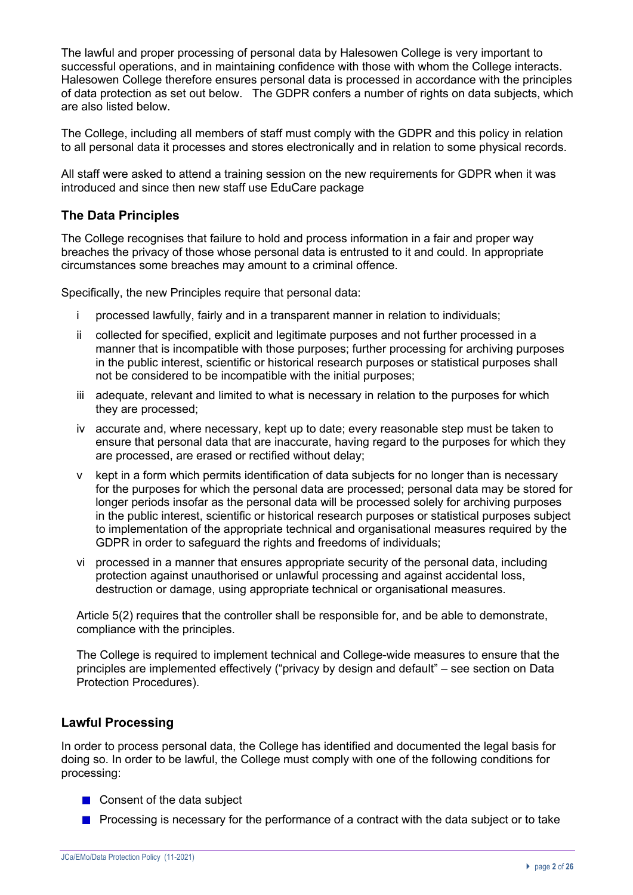The lawful and proper processing of personal data by Halesowen College is very important to successful operations, and in maintaining confidence with those with whom the College interacts. Halesowen College therefore ensures personal data is processed in accordance with the principles of data protection as set out below. The GDPR confers a number of rights on data subjects, which are also listed below.

The College, including all members of staff must comply with the GDPR and this policy in relation to all personal data it processes and stores electronically and in relation to some physical records.

All staff were asked to attend a training session on the new requirements for GDPR when it was introduced and since then new staff use EduCare package

# **The Data Principles**

The College recognises that failure to hold and process information in a fair and proper way breaches the privacy of those whose personal data is entrusted to it and could. In appropriate circumstances some breaches may amount to a criminal offence.

Specifically, the new Principles require that personal data:

- i processed lawfully, fairly and in a transparent manner in relation to individuals;
- ii collected for specified, explicit and legitimate purposes and not further processed in a manner that is incompatible with those purposes; further processing for archiving purposes in the public interest, scientific or historical research purposes or statistical purposes shall not be considered to be incompatible with the initial purposes;
- iii adequate, relevant and limited to what is necessary in relation to the purposes for which they are processed;
- iv accurate and, where necessary, kept up to date; every reasonable step must be taken to ensure that personal data that are inaccurate, having regard to the purposes for which they are processed, are erased or rectified without delay;
- v kept in a form which permits identification of data subjects for no longer than is necessary for the purposes for which the personal data are processed; personal data may be stored for longer periods insofar as the personal data will be processed solely for archiving purposes in the public interest, scientific or historical research purposes or statistical purposes subject to implementation of the appropriate technical and organisational measures required by the GDPR in order to safeguard the rights and freedoms of individuals:
- vi processed in a manner that ensures appropriate security of the personal data, including protection against unauthorised or unlawful processing and against accidental loss, destruction or damage, using appropriate technical or organisational measures.

Article 5(2) requires that the controller shall be responsible for, and be able to demonstrate, compliance with the principles.

The College is required to implement technical and College-wide measures to ensure that the principles are implemented effectively ("privacy by design and default" – see section on Data Protection Procedures).

## **Lawful Processing**

In order to process personal data, the College has identified and documented the legal basis for doing so. In order to be lawful, the College must comply with one of the following conditions for processing:

- Consent of the data subject
- **Processing is necessary for the performance of a contract with the data subject or to take**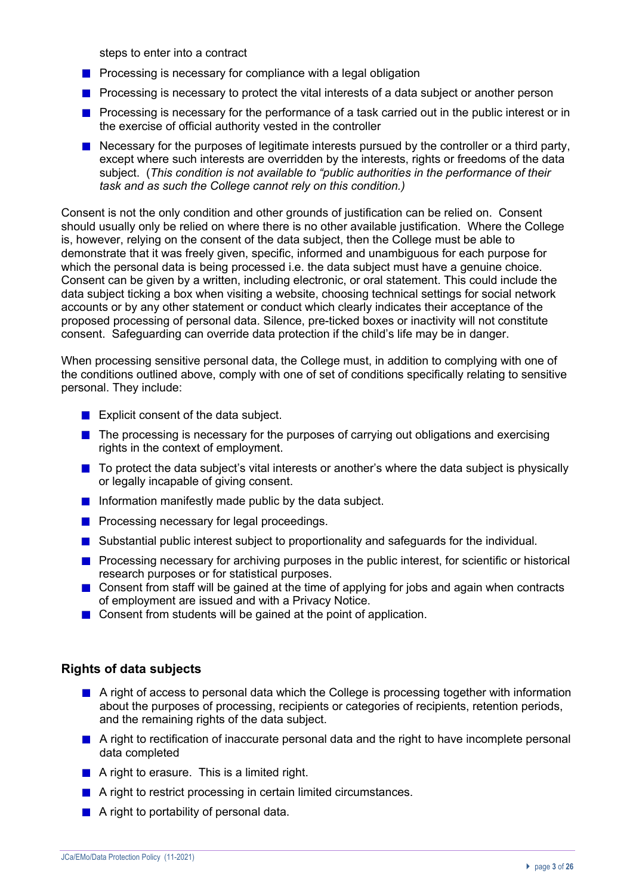steps to enter into a contract

- **Processing is necessary for compliance with a legal obligation**
- **Processing is necessary to protect the vital interests of a data subject or another person**
- **Processing is necessary for the performance of a task carried out in the public interest or in** the exercise of official authority vested in the controller
- $\blacksquare$  Necessary for the purposes of legitimate interests pursued by the controller or a third party, except where such interests are overridden by the interests, rights or freedoms of the data subject. (*This condition is not available to "public authorities in the performance of their task and as such the College cannot rely on this condition.)*

Consent is not the only condition and other grounds of justification can be relied on. Consent should usually only be relied on where there is no other available justification. Where the College is, however, relying on the consent of the data subject, then the College must be able to demonstrate that it was freely given, specific, informed and unambiguous for each purpose for which the personal data is being processed i.e. the data subject must have a genuine choice. Consent can be given by a written, including electronic, or oral statement. This could include the data subject ticking a box when visiting a website, choosing technical settings for social network accounts or by any other statement or conduct which clearly indicates their acceptance of the proposed processing of personal data. Silence, pre-ticked boxes or inactivity will not constitute consent. Safeguarding can override data protection if the child's life may be in danger.

When processing sensitive personal data, the College must, in addition to complying with one of the conditions outlined above, comply with one of set of conditions specifically relating to sensitive personal. They include:

- Explicit consent of the data subject.
- $\blacksquare$  The processing is necessary for the purposes of carrying out obligations and exercising rights in the context of employment.
- $\blacksquare$  To protect the data subject's vital interests or another's where the data subject is physically or legally incapable of giving consent.
- Information manifestly made public by the data subject.
- **Processing necessary for legal proceedings.**
- **Substantial public interest subject to proportionality and safequards for the individual.**
- **Processing necessary for archiving purposes in the public interest, for scientific or historical** research purposes or for statistical purposes.
- Consent from staff will be gained at the time of applying for jobs and again when contracts of employment are issued and with a Privacy Notice.
- Consent from students will be gained at the point of application.

### **Rights of data subjects**

- A right of access to personal data which the College is processing together with information about the purposes of processing, recipients or categories of recipients, retention periods, and the remaining rights of the data subject.
- A right to rectification of inaccurate personal data and the right to have incomplete personal data completed
- A right to erasure. This is a limited right.
- A right to restrict processing in certain limited circumstances.
- A right to portability of personal data.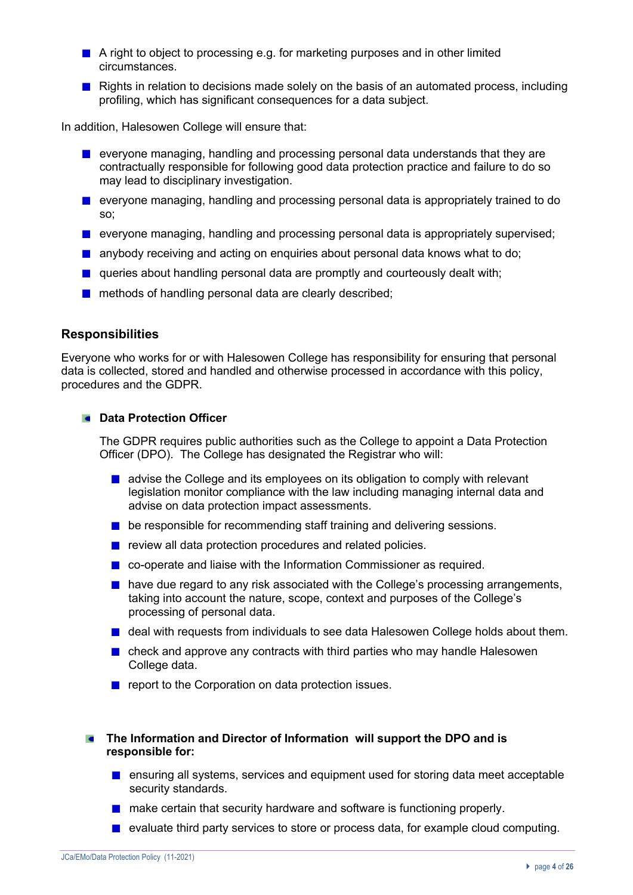- A right to object to processing e.g. for marketing purposes and in other limited circumstances.
- **Rights in relation to decisions made solely on the basis of an automated process, including** profiling, which has significant consequences for a data subject.

In addition, Halesowen College will ensure that:

- **E** everyone managing, handling and processing personal data understands that they are contractually responsible for following good data protection practice and failure to do so may lead to disciplinary investigation.
- **E** everyone managing, handling and processing personal data is appropriately trained to do so;
- everyone managing, handling and processing personal data is appropriately supervised;
- **a** anybody receiving and acting on enquiries about personal data knows what to do;
- queries about handling personal data are promptly and courteously dealt with;
- **n** methods of handling personal data are clearly described;

#### **Responsibilities**

Everyone who works for or with Halesowen College has responsibility for ensuring that personal data is collected, stored and handled and otherwise processed in accordance with this policy, procedures and the GDPR.

#### **E** Data Protection Officer

The GDPR requires public authorities such as the College to appoint a Data Protection Officer (DPO). The College has designated the Registrar who will:

- **a** advise the College and its employees on its obligation to comply with relevant legislation monitor compliance with the law including managing internal data and advise on data protection impact assessments.
- **B** be responsible for recommending staff training and delivering sessions.
- $\blacksquare$  review all data protection procedures and related policies.
- co-operate and liaise with the Information Commissioner as required.
- $\blacksquare$  have due regard to any risk associated with the College's processing arrangements, taking into account the nature, scope, context and purposes of the College's processing of personal data.
- **D** deal with requests from individuals to see data Halesowen College holds about them.
- **n** check and approve any contracts with third parties who may handle Halesowen College data.
- **F** report to the Corporation on data protection issues.

#### **The Information and Director of Information will support the DPO and is responsible for:**

- **E** ensuring all systems, services and equipment used for storing data meet acceptable security standards.
- **n** make certain that security hardware and software is functioning properly.
- **E** evaluate third party services to store or process data, for example cloud computing.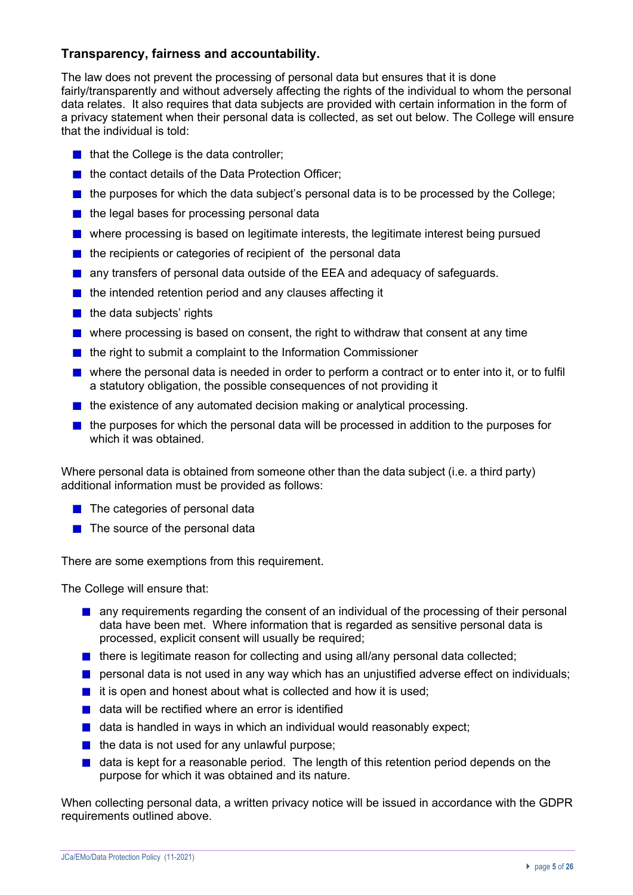# **Transparency, fairness and accountability.**

The law does not prevent the processing of personal data but ensures that it is done fairly/transparently and without adversely affecting the rights of the individual to whom the personal data relates. It also requires that data subjects are provided with certain information in the form of a privacy statement when their personal data is collected, as set out below. The College will ensure that the individual is told:

- $\blacksquare$  that the College is the data controller:
- $\blacksquare$  the contact details of the Data Protection Officer:
- $\blacksquare$  the purposes for which the data subject's personal data is to be processed by the College;
- $\blacksquare$  the legal bases for processing personal data
- where processing is based on legitimate interests, the legitimate interest being pursued
- $\blacksquare$  the recipients or categories of recipient of the personal data
- any transfers of personal data outside of the EEA and adequacy of safeguards.
- $\blacksquare$  the intended retention period and any clauses affecting it
- $\blacksquare$  the data subjects' rights
- $\blacksquare$  where processing is based on consent, the right to withdraw that consent at any time
- $\blacksquare$  the right to submit a complaint to the Information Commissioner
- where the personal data is needed in order to perform a contract or to enter into it, or to fulfil a statutory obligation, the possible consequences of not providing it
- $\blacksquare$  the existence of any automated decision making or analytical processing.
- $\blacksquare$  the purposes for which the personal data will be processed in addition to the purposes for which it was obtained.

Where personal data is obtained from someone other than the data subject (i.e. a third party) additional information must be provided as follows:

- $\blacksquare$  The categories of personal data
- $\blacksquare$  The source of the personal data

There are some exemptions from this requirement.

The College will ensure that:

- **a** any requirements regarding the consent of an individual of the processing of their personal data have been met. Where information that is regarded as sensitive personal data is processed, explicit consent will usually be required;
- there is legitimate reason for collecting and using all/any personal data collected;
- **Part of the solution** personal data is not used in any way which has an unjustified adverse effect on individuals;
- $\blacksquare$  it is open and honest about what is collected and how it is used;
- data will be rectified where an error is identified
- $\Box$  data is handled in ways in which an individual would reasonably expect;
- $\blacksquare$  the data is not used for any unlawful purpose;
- data is kept for a reasonable period. The length of this retention period depends on the purpose for which it was obtained and its nature.

When collecting personal data, a written privacy notice will be issued in accordance with the GDPR requirements outlined above.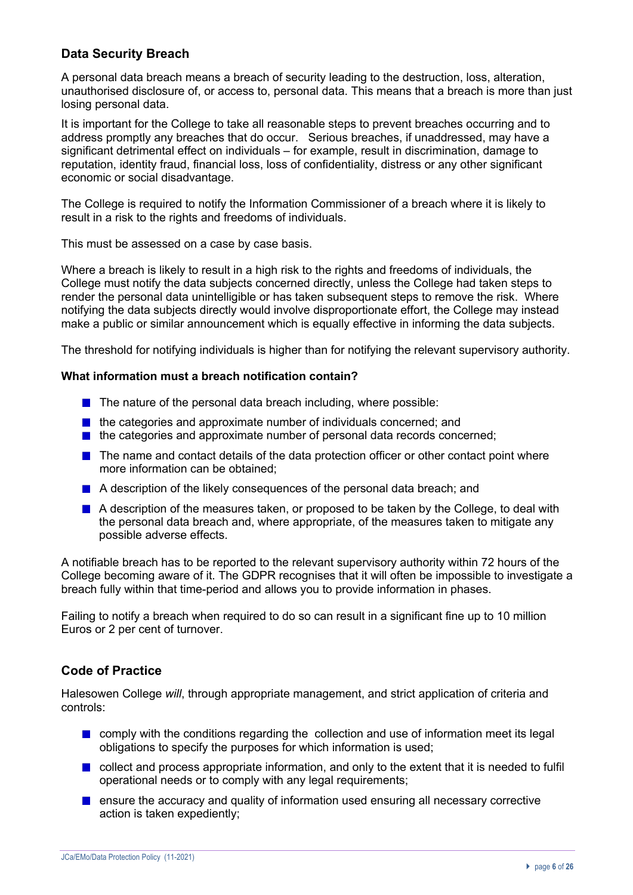# **Data Security Breach**

A personal data breach means a breach of security leading to the destruction, loss, alteration, unauthorised disclosure of, or access to, personal data. This means that a breach is more than just losing personal data.

It is important for the College to take all reasonable steps to prevent breaches occurring and to address promptly any breaches that do occur. Serious breaches, if unaddressed, may have a significant detrimental effect on individuals – for example, result in discrimination, damage to reputation, identity fraud, financial loss, loss of confidentiality, distress or any other significant economic or social disadvantage.

The College is required to notify the Information Commissioner of a breach where it is likely to result in a risk to the rights and freedoms of individuals.

This must be assessed on a case by case basis.

Where a breach is likely to result in a high risk to the rights and freedoms of individuals, the College must notify the data subjects concerned directly, unless the College had taken steps to render the personal data unintelligible or has taken subsequent steps to remove the risk. Where notifying the data subjects directly would involve disproportionate effort, the College may instead make a public or similar announcement which is equally effective in informing the data subjects.

The threshold for notifying individuals is higher than for notifying the relevant supervisory authority.

#### **What information must a breach notification contain?**

- $\blacksquare$  The nature of the personal data breach including, where possible:
- $\blacksquare$  the categories and approximate number of individuals concerned; and
- $\blacksquare$  the categories and approximate number of personal data records concerned;
- **The name and contact details of the data protection officer or other contact point where** more information can be obtained;
- A description of the likely consequences of the personal data breach; and
- A description of the measures taken, or proposed to be taken by the College, to deal with the personal data breach and, where appropriate, of the measures taken to mitigate any possible adverse effects.

A notifiable breach has to be reported to the relevant supervisory authority within 72 hours of the College becoming aware of it. The GDPR recognises that it will often be impossible to investigate a breach fully within that time-period and allows you to provide information in phases.

Failing to notify a breach when required to do so can result in a significant fine up to 10 million Euros or 2 per cent of turnover.

## **Code of Practice**

Halesowen College *will*, through appropriate management, and strict application of criteria and controls:

- **E** comply with the conditions regarding the collection and use of information meet its legal obligations to specify the purposes for which information is used;
- **Collect and process appropriate information, and only to the extent that it is needed to fulfil** operational needs or to comply with any legal requirements;
- **E** ensure the accuracy and quality of information used ensuring all necessary corrective action is taken expediently;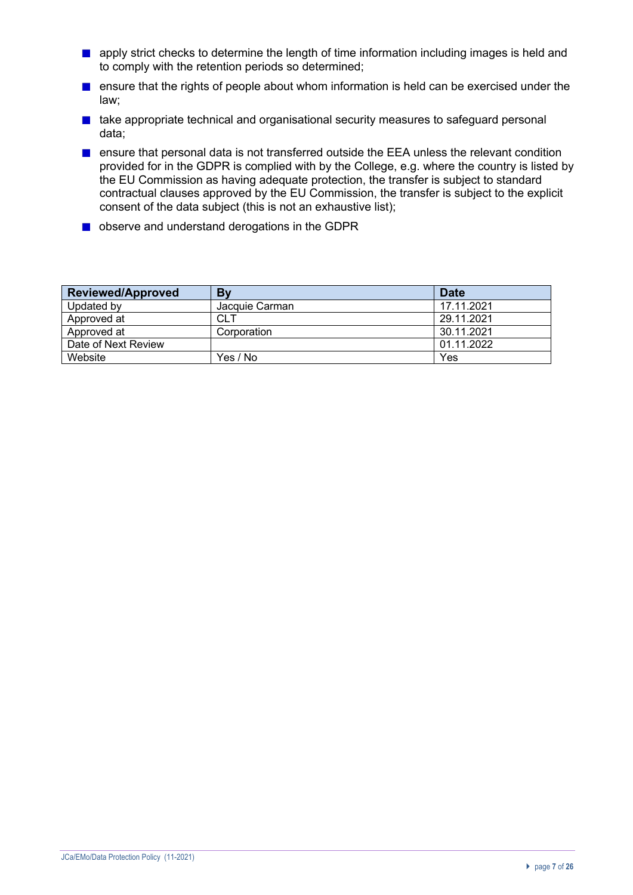- $\blacksquare$  apply strict checks to determine the length of time information including images is held and to comply with the retention periods so determined;
- **E** ensure that the rights of people about whom information is held can be exercised under the law;
- $\blacksquare$  take appropriate technical and organisational security measures to safeguard personal data;
- **E** ensure that personal data is not transferred outside the EEA unless the relevant condition provided for in the GDPR is complied with by the College, e.g. where the country is listed by the EU Commission as having adequate protection, the transfer is subject to standard contractual clauses approved by the EU Commission, the transfer is subject to the explicit consent of the data subject (this is not an exhaustive list);
- observe and understand derogations in the GDPR

| <b>Reviewed/Approved</b> | By             | <b>Date</b> |
|--------------------------|----------------|-------------|
| Updated by               | Jacquie Carman | 17.11.2021  |
| Approved at              | CLT            | 29.11.2021  |
| Approved at              | Corporation    | 30.11.2021  |
| Date of Next Review      |                | 01.11.2022  |
| Website                  | Yes / No       | Yes         |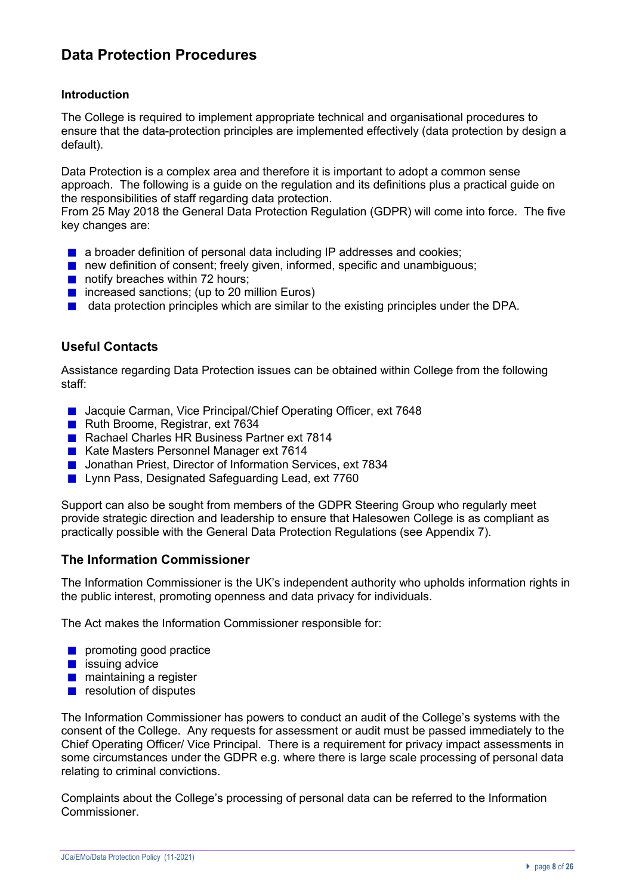# **Data Protection Procedures**

### **Introduction**

The College is required to implement appropriate technical and organisational procedures to ensure that the data-protection principles are implemented effectively (data protection by design a default).

Data Protection is a complex area and therefore it is important to adopt a common sense approach. The following is a guide on the regulation and its definitions plus a practical guide on the responsibilities of staff regarding data protection.

From 25 May 2018 the General Data Protection Regulation (GDPR) will come into force. The five key changes are:

- a broader definition of personal data including IP addresses and cookies:
- new definition of consent; freely given, informed, specific and unambiguous;
- notify breaches within 72 hours:
- increased sanctions: (up to 20 million Euros)
- $\blacksquare$  data protection principles which are similar to the existing principles under the DPA.

## **Useful Contacts**

Assistance regarding Data Protection issues can be obtained within College from the following staff:

- Jacquie Carman, Vice Principal/Chief Operating Officer, ext 7648
- **Ruth Broome, Registrar, ext 7634**
- Rachael Charles HR Business Partner ext 7814
- Kate Masters Personnel Manager ext 7614
- **Jonathan Priest, Director of Information Services, ext 7834**
- **Lynn Pass, Designated Safeguarding Lead, ext 7760**

Support can also be sought from members of the GDPR Steering Group who regularly meet provide strategic direction and leadership to ensure that Halesowen College is as compliant as practically possible with the General Data Protection Regulations (see Appendix 7).

### **The Information Commissioner**

The Information Commissioner is the UK's independent authority who upholds information rights in the public interest, promoting openness and data privacy for individuals.

The Act makes the Information Commissioner responsible for:

- **promoting good practice**
- $\blacksquare$  issuing advice
- **n** maintaining a register
- $\blacksquare$  resolution of disputes

The Information Commissioner has powers to conduct an audit of the College's systems with the consent of the College. Any requests for assessment or audit must be passed immediately to the Chief Operating Officer/ Vice Principal. There is a requirement for privacy impact assessments in some circumstances under the GDPR e.g. where there is large scale processing of personal data relating to criminal convictions.

Complaints about the College's processing of personal data can be referred to the Information Commissioner.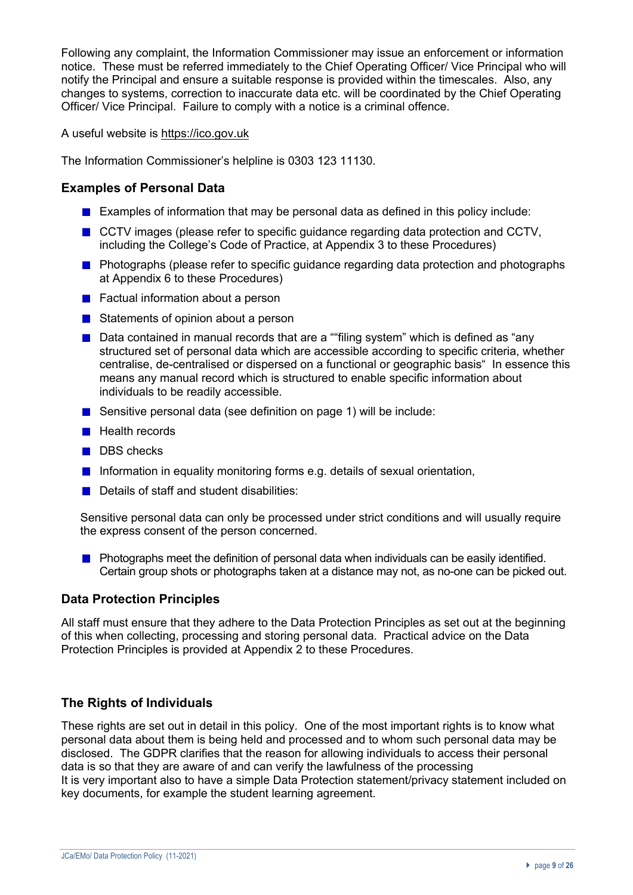Following any complaint, the Information Commissioner may issue an enforcement or information notice. These must be referred immediately to the Chief Operating Officer/ Vice Principal who will notify the Principal and ensure a suitable response is provided within the timescales. Also, any changes to systems, correction to inaccurate data etc. will be coordinated by the Chief Operating Officer/ Vice Principal. Failure to comply with a notice is a criminal offence.

A useful website is https://ico.gov.uk

The Information Commissioner's helpline is 0303 123 11130.

### **Examples of Personal Data**

- **EXAMPLE 20.** Examples of information that may be personal data as defined in this policy include:
- CCTV images (please refer to specific guidance regarding data protection and CCTV, including the College's Code of Practice, at Appendix 3 to these Procedures)
- **Photographs (please refer to specific quidance regarding data protection and photographs** at Appendix 6 to these Procedures)
- $\blacksquare$  Factual information about a person
- Statements of opinion about a person
- Data contained in manual records that are a ""filing system" which is defined as "any structured set of personal data which are accessible according to specific criteria, whether centralise, de-centralised or dispersed on a functional or geographic basis" In essence this means any manual record which is structured to enable specific information about individuals to be readily accessible.
- Sensitive personal data (see definition on page 1) will be include:
- $\blacksquare$  Health records
- DBS checks
- Information in equality monitoring forms e.g. details of sexual orientation,
- Details of staff and student disabilities:

Sensitive personal data can only be processed under strict conditions and will usually require the express consent of the person concerned.

**Photographs meet the definition of personal data when individuals can be easily identified.** Certain group shots or photographs taken at a distance may not, as no-one can be picked out.

### **Data Protection Principles**

All staff must ensure that they adhere to the Data Protection Principles as set out at the beginning of this when collecting, processing and storing personal data. Practical advice on the Data Protection Principles is provided at Appendix 2 to these Procedures.

## **The Rights of Individuals**

These rights are set out in detail in this policy. One of the most important rights is to know what personal data about them is being held and processed and to whom such personal data may be disclosed. The GDPR clarifies that the reason for allowing individuals to access their personal data is so that they are aware of and can verify the lawfulness of the processing It is very important also to have a simple Data Protection statement/privacy statement included on key documents, for example the student learning agreement.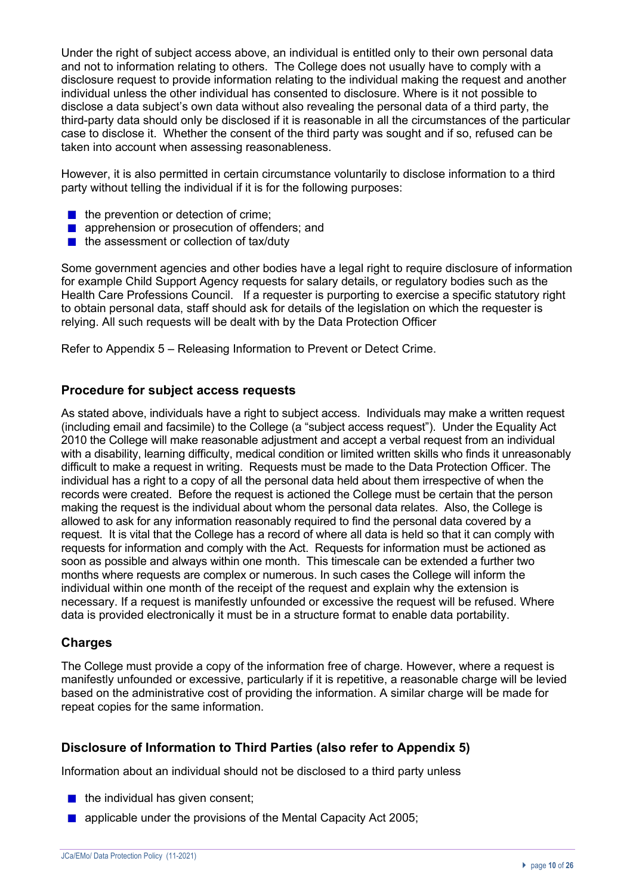Under the right of subject access above, an individual is entitled only to their own personal data and not to information relating to others. The College does not usually have to comply with a disclosure request to provide information relating to the individual making the request and another individual unless the other individual has consented to disclosure. Where is it not possible to disclose a data subject's own data without also revealing the personal data of a third party, the third-party data should only be disclosed if it is reasonable in all the circumstances of the particular case to disclose it. Whether the consent of the third party was sought and if so, refused can be taken into account when assessing reasonableness.

However, it is also permitted in certain circumstance voluntarily to disclose information to a third party without telling the individual if it is for the following purposes:

- $\blacksquare$  the prevention or detection of crime;
- **apprehension or prosecution of offenders; and**
- $\blacksquare$  the assessment or collection of tax/duty

Some government agencies and other bodies have a legal right to require disclosure of information for example Child Support Agency requests for salary details, or regulatory bodies such as the Health Care Professions Council. If a requester is purporting to exercise a specific statutory right to obtain personal data, staff should ask for details of the legislation on which the requester is relying. All such requests will be dealt with by the Data Protection Officer

Refer to Appendix 5 – Releasing Information to Prevent or Detect Crime.

### **Procedure for subject access requests**

As stated above, individuals have a right to subject access. Individuals may make a written request (including email and facsimile) to the College (a "subject access request"). Under the Equality Act 2010 the College will make reasonable adjustment and accept a verbal request from an individual with a disability, learning difficulty, medical condition or limited written skills who finds it unreasonably difficult to make a request in writing. Requests must be made to the Data Protection Officer. The individual has a right to a copy of all the personal data held about them irrespective of when the records were created. Before the request is actioned the College must be certain that the person making the request is the individual about whom the personal data relates. Also, the College is allowed to ask for any information reasonably required to find the personal data covered by a request. It is vital that the College has a record of where all data is held so that it can comply with requests for information and comply with the Act. Requests for information must be actioned as soon as possible and always within one month. This timescale can be extended a further two months where requests are complex or numerous. In such cases the College will inform the individual within one month of the receipt of the request and explain why the extension is necessary. If a request is manifestly unfounded or excessive the request will be refused. Where data is provided electronically it must be in a structure format to enable data portability.

### **Charges**

The College must provide a copy of the information free of charge. However, where a request is manifestly unfounded or excessive, particularly if it is repetitive, a reasonable charge will be levied based on the administrative cost of providing the information. A similar charge will be made for repeat copies for the same information.

## **Disclosure of Information to Third Parties (also refer to Appendix 5)**

Information about an individual should not be disclosed to a third party unless

- $\blacksquare$  the individual has given consent:
- **a** applicable under the provisions of the Mental Capacity Act 2005: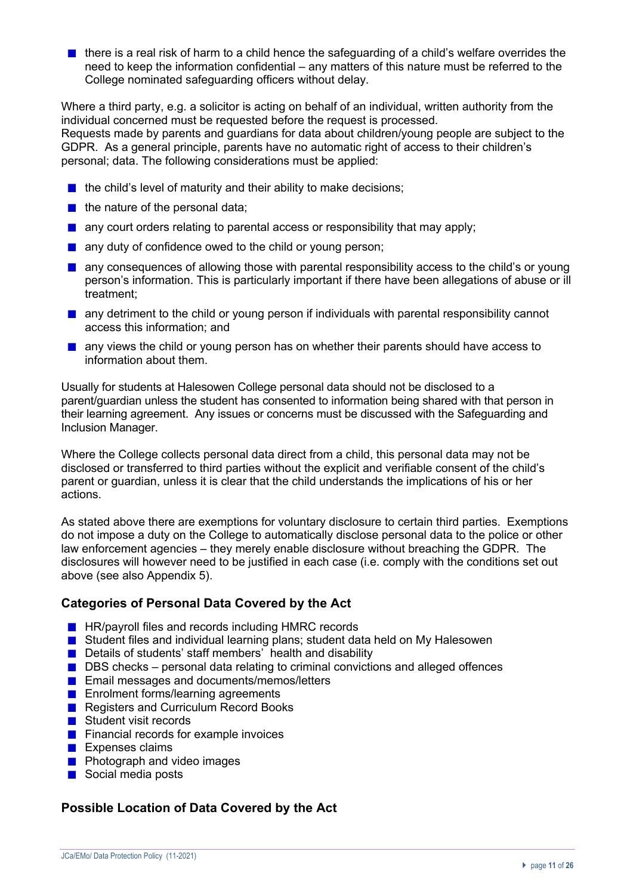$\blacksquare$  there is a real risk of harm to a child hence the safeguarding of a child's welfare overrides the need to keep the information confidential – any matters of this nature must be referred to the College nominated safeguarding officers without delay.

Where a third party, e.g. a solicitor is acting on behalf of an individual, written authority from the individual concerned must be requested before the request is processed. Requests made by parents and guardians for data about children/young people are subject to the GDPR. As a general principle, parents have no automatic right of access to their children's personal; data. The following considerations must be applied:

- $\blacksquare$  the child's level of maturity and their ability to make decisions;
- $\blacksquare$  the nature of the personal data;
- **a** any court orders relating to parental access or responsibility that may apply:
- **a** any duty of confidence owed to the child or young person;
- **a** any consequences of allowing those with parental responsibility access to the child's or young person's information. This is particularly important if there have been allegations of abuse or ill treatment;
- **a** any detriment to the child or young person if individuals with parental responsibility cannot access this information; and
- **a** any views the child or young person has on whether their parents should have access to information about them.

Usually for students at Halesowen College personal data should not be disclosed to a parent/guardian unless the student has consented to information being shared with that person in their learning agreement. Any issues or concerns must be discussed with the Safeguarding and Inclusion Manager.

Where the College collects personal data direct from a child, this personal data may not be disclosed or transferred to third parties without the explicit and verifiable consent of the child's parent or guardian, unless it is clear that the child understands the implications of his or her actions.

As stated above there are exemptions for voluntary disclosure to certain third parties. Exemptions do not impose a duty on the College to automatically disclose personal data to the police or other law enforcement agencies – they merely enable disclosure without breaching the GDPR. The disclosures will however need to be justified in each case (i.e. comply with the conditions set out above (see also Appendix 5).

## **Categories of Personal Data Covered by the Act**

- **HR/payroll files and records including HMRC records**
- Student files and individual learning plans; student data held on My Halesowen
- Details of students' staff members' health and disability
- $\blacksquare$  DBS checks personal data relating to criminal convictions and alleged offences
- **EXECUTE:** Email messages and documents/memos/letters
- **Enrolment forms/learning agreements**
- Registers and Curriculum Record Books
- Student visit records
- **Financial records for example invoices**
- **Expenses claims**
- **Photograph and video images**
- Social media posts

# **Possible Location of Data Covered by the Act**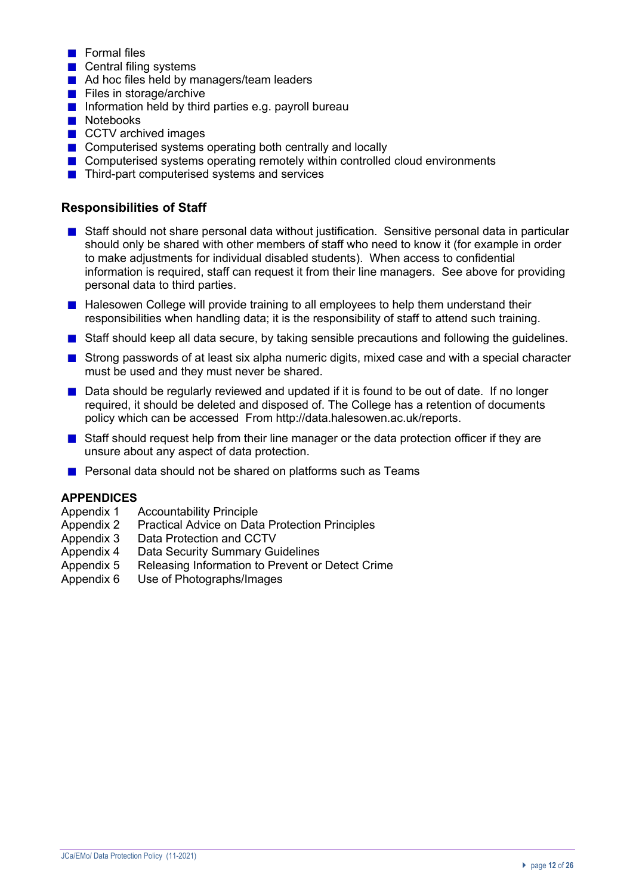- **Formal files**
- **■** Central filing systems
- Ad hoc files held by managers/team leaders
- **Files in storage/archive**
- Information held by third parties e.g. payroll bureau
- **Notebooks**
- CCTV archived images
- Computerised systems operating both centrally and locally
- **Computerised systems operating remotely within controlled cloud environments**
- Third-part computerised systems and services

### **Responsibilities of Staff**

- **Staff should not share personal data without iustification. Sensitive personal data in particular** should only be shared with other members of staff who need to know it (for example in order to make adjustments for individual disabled students). When access to confidential information is required, staff can request it from their line managers. See above for providing personal data to third parties.
- **Halesowen College will provide training to all employees to help them understand their** responsibilities when handling data; it is the responsibility of staff to attend such training.
- Staff should keep all data secure, by taking sensible precautions and following the guidelines.
- **Strong passwords of at least six alpha numeric digits, mixed case and with a special character** must be used and they must never be shared.
- **Data should be regularly reviewed and updated if it is found to be out of date. If no longer** required, it should be deleted and disposed of. The College has a retention of documents policy which can be accessed From http://data.halesowen.ac.uk/reports.
- **Staff should request help from their line manager or the data protection officer if they are** unsure about any aspect of data protection.
- **Personal data should not be shared on platforms such as Teams**

#### **APPENDICES**

- Appendix 1 Accountability Principle
- Appendix 2 Practical Advice on Data Protection Principles
- Appendix 3 Data Protection and CCTV
- Appendix 4 Data Security Summary Guidelines
- Appendix 5 Releasing Information to Prevent or Detect Crime
- Appendix 6 Use of Photographs/Images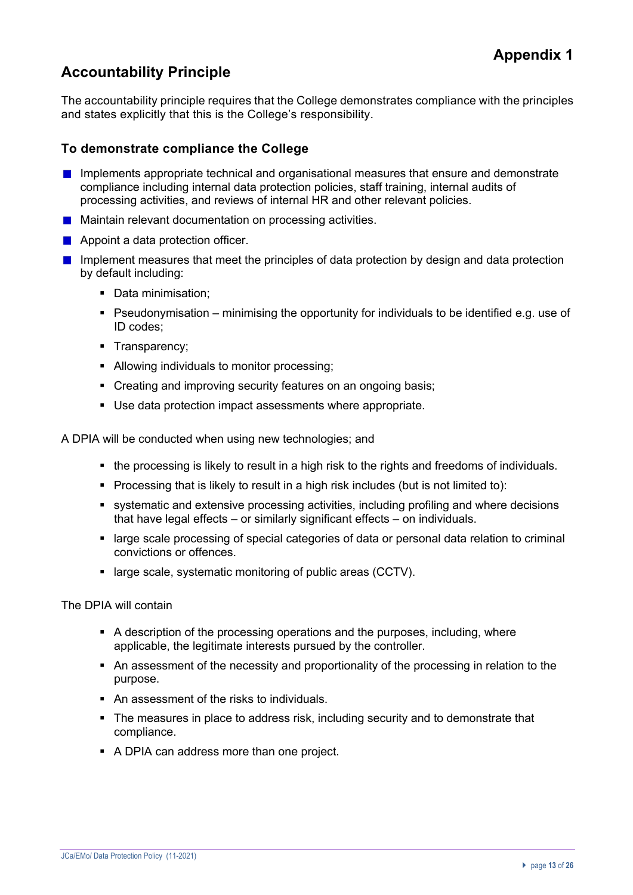# **Accountability Principle**

The accountability principle requires that the College demonstrates compliance with the principles and states explicitly that this is the College's responsibility.

## **To demonstrate compliance the College**

- **IMP** Implements appropriate technical and organisational measures that ensure and demonstrate compliance including internal data protection policies, staff training, internal audits of processing activities, and reviews of internal HR and other relevant policies.
- **Maintain relevant documentation on processing activities.**
- **Appoint a data protection officer.**
- **IMP** Implement measures that meet the principles of data protection by design and data protection by default including:
	- Data minimisation:
	- Pseudonymisation minimising the opportunity for individuals to be identified e.g. use of ID codes;
	- Transparency;
	- Allowing individuals to monitor processing;
	- Creating and improving security features on an ongoing basis;
	- Use data protection impact assessments where appropriate.

A DPIA will be conducted when using new technologies; and

- the processing is likely to result in a high risk to the rights and freedoms of individuals.
- Processing that is likely to result in a high risk includes (but is not limited to):
- systematic and extensive processing activities, including profiling and where decisions that have legal effects – or similarly significant effects – on individuals.
- large scale processing of special categories of data or personal data relation to criminal convictions or offences.
- large scale, systematic monitoring of public areas (CCTV).

The DPIA will contain

- § A description of the processing operations and the purposes, including, where applicable, the legitimate interests pursued by the controller.
- An assessment of the necessity and proportionality of the processing in relation to the purpose.
- An assessment of the risks to individuals.
- The measures in place to address risk, including security and to demonstrate that compliance.
- A DPIA can address more than one project.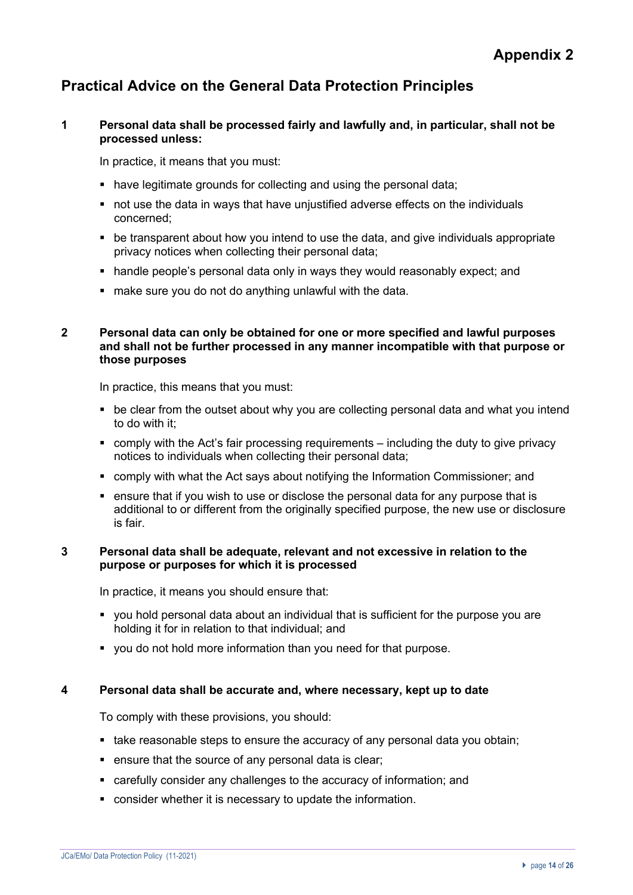# **Practical Advice on the General Data Protection Principles**

## **1 Personal data shall be processed fairly and lawfully and, in particular, shall not be processed unless:**

In practice, it means that you must:

- have legitimate grounds for collecting and using the personal data;
- not use the data in ways that have unjustified adverse effects on the individuals concerned;
- be transparent about how you intend to use the data, and give individuals appropriate privacy notices when collecting their personal data;
- handle people's personal data only in ways they would reasonably expect; and
- make sure you do not do anything unlawful with the data.

#### **2 Personal data can only be obtained for one or more specified and lawful purposes and shall not be further processed in any manner incompatible with that purpose or those purposes**

In practice, this means that you must:

- be clear from the outset about why you are collecting personal data and what you intend to do with it;
- comply with the Act's fair processing requirements including the duty to give privacy notices to individuals when collecting their personal data;
- § comply with what the Act says about notifying the Information Commissioner; and
- ensure that if you wish to use or disclose the personal data for any purpose that is additional to or different from the originally specified purpose, the new use or disclosure is fair.

#### **3 Personal data shall be adequate, relevant and not excessive in relation to the purpose or purposes for which it is processed**

In practice, it means you should ensure that:

- you hold personal data about an individual that is sufficient for the purpose you are holding it for in relation to that individual; and
- § you do not hold more information than you need for that purpose.

### **4 Personal data shall be accurate and, where necessary, kept up to date**

To comply with these provisions, you should:

- take reasonable steps to ensure the accuracy of any personal data you obtain;
- ensure that the source of any personal data is clear;
- carefully consider any challenges to the accuracy of information; and
- consider whether it is necessary to update the information.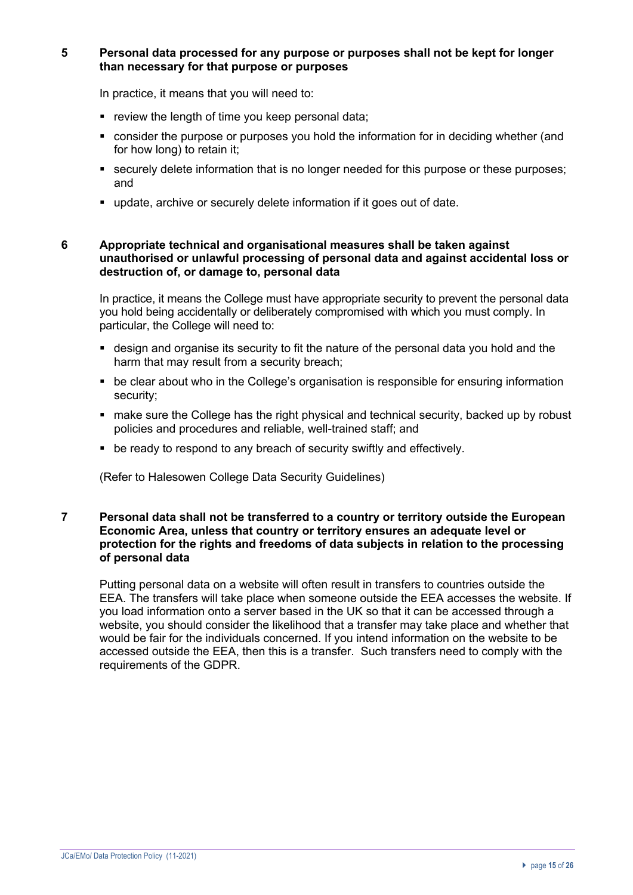### **5 Personal data processed for any purpose or purposes shall not be kept for longer than necessary for that purpose or purposes**

In practice, it means that you will need to:

- **review the length of time you keep personal data:**
- consider the purpose or purposes you hold the information for in deciding whether (and for how long) to retain it;
- securely delete information that is no longer needed for this purpose or these purposes; and
- update, archive or securely delete information if it goes out of date.

#### **6 Appropriate technical and organisational measures shall be taken against unauthorised or unlawful processing of personal data and against accidental loss or destruction of, or damage to, personal data**

In practice, it means the College must have appropriate security to prevent the personal data you hold being accidentally or deliberately compromised with which you must comply. In particular, the College will need to:

- design and organise its security to fit the nature of the personal data you hold and the harm that may result from a security breach;
- be clear about who in the College's organisation is responsible for ensuring information security;
- make sure the College has the right physical and technical security, backed up by robust policies and procedures and reliable, well-trained staff; and
- be ready to respond to any breach of security swiftly and effectively.

(Refer to Halesowen College Data Security Guidelines)

#### **7 Personal data shall not be transferred to a country or territory outside the European Economic Area, unless that country or territory ensures an adequate level or protection for the rights and freedoms of data subjects in relation to the processing of personal data**

Putting personal data on a website will often result in transfers to countries outside the EEA. The transfers will take place when someone outside the EEA accesses the website. If you load information onto a server based in the UK so that it can be accessed through a website, you should consider the likelihood that a transfer may take place and whether that would be fair for the individuals concerned. If you intend information on the website to be accessed outside the EEA, then this is a transfer. Such transfers need to comply with the requirements of the GDPR.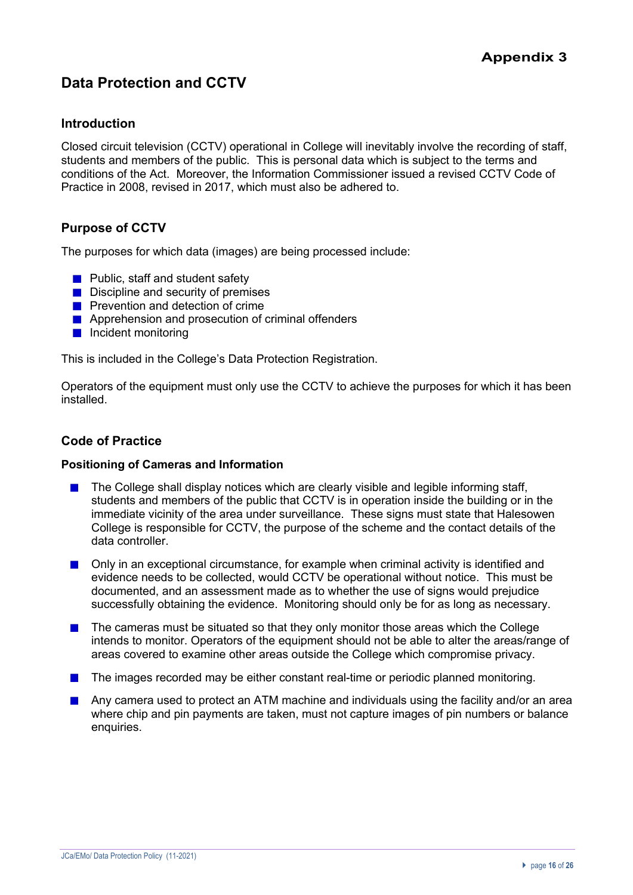# **Data Protection and CCTV**

## **Introduction**

Closed circuit television (CCTV) operational in College will inevitably involve the recording of staff, students and members of the public. This is personal data which is subject to the terms and conditions of the Act. Moreover, the Information Commissioner issued a revised CCTV Code of Practice in 2008, revised in 2017, which must also be adhered to.

## **Purpose of CCTV**

The purposes for which data (images) are being processed include:

- $\blacksquare$  Public, staff and student safety
- $\blacksquare$  Discipline and security of premises
- **Prevention and detection of crime**
- **Apprehension and prosecution of criminal offenders**
- **Incident monitoring**

This is included in the College's Data Protection Registration.

Operators of the equipment must only use the CCTV to achieve the purposes for which it has been installed.

#### **Code of Practice**

#### **Positioning of Cameras and Information**

- The College shall display notices which are clearly visible and legible informing staff, students and members of the public that CCTV is in operation inside the building or in the immediate vicinity of the area under surveillance. These signs must state that Halesowen College is responsible for CCTV, the purpose of the scheme and the contact details of the data controller.
- Only in an exceptional circumstance, for example when criminal activity is identified and evidence needs to be collected, would CCTV be operational without notice. This must be documented, and an assessment made as to whether the use of signs would prejudice successfully obtaining the evidence. Monitoring should only be for as long as necessary.
- The cameras must be situated so that they only monitor those areas which the College **Contract** intends to monitor. Operators of the equipment should not be able to alter the areas/range of areas covered to examine other areas outside the College which compromise privacy.
- The images recorded may be either constant real-time or periodic planned monitoring.
- **A** Any camera used to protect an ATM machine and individuals using the facility and/or an area where chip and pin payments are taken, must not capture images of pin numbers or balance enquiries.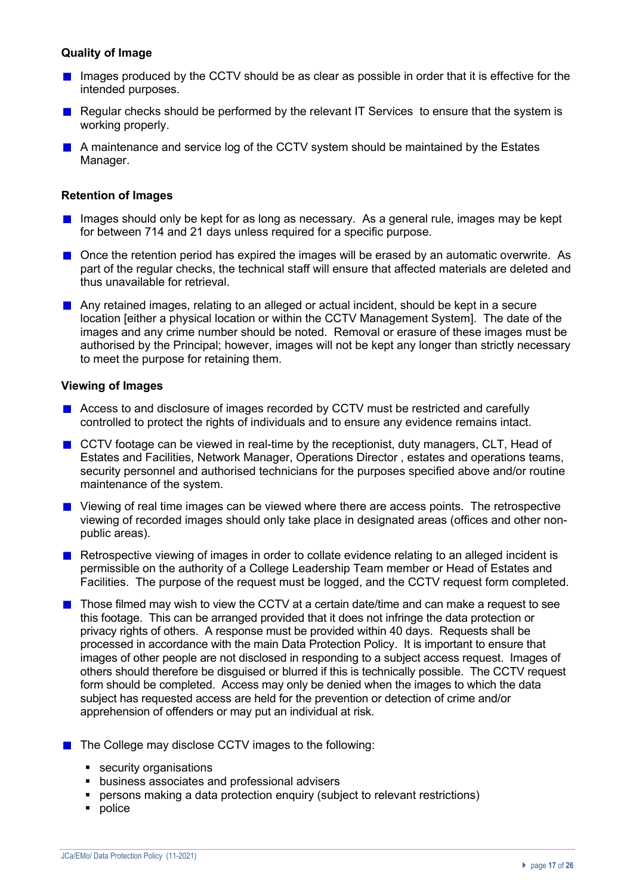### **Quality of Image**

- $\blacksquare$  Images produced by the CCTV should be as clear as possible in order that it is effective for the intended purposes.
- Regular checks should be performed by the relevant IT Services to ensure that the system is working properly.
- A maintenance and service log of the CCTV system should be maintained by the Estates Manager.

#### **Retention of Images**

- Images should only be kept for as long as necessary. As a general rule, images may be kept for between 714 and 21 days unless required for a specific purpose.
- **Once the retention period has expired the images will be erased by an automatic overwrite.** As part of the regular checks, the technical staff will ensure that affected materials are deleted and thus unavailable for retrieval.
- **Any retained images, relating to an alleged or actual incident, should be kept in a secure** location [either a physical location or within the CCTV Management System]. The date of the images and any crime number should be noted. Removal or erasure of these images must be authorised by the Principal; however, images will not be kept any longer than strictly necessary to meet the purpose for retaining them.

#### **Viewing of Images**

- Access to and disclosure of images recorded by CCTV must be restricted and carefully controlled to protect the rights of individuals and to ensure any evidence remains intact.
- CCTV footage can be viewed in real-time by the receptionist, duty managers, CLT, Head of Estates and Facilities, Network Manager, Operations Director , estates and operations teams, security personnel and authorised technicians for the purposes specified above and/or routine maintenance of the system.
- **D** Viewing of real time images can be viewed where there are access points. The retrospective viewing of recorded images should only take place in designated areas (offices and other nonpublic areas).
- Retrospective viewing of images in order to collate evidence relating to an alleged incident is permissible on the authority of a College Leadership Team member or Head of Estates and Facilities. The purpose of the request must be logged, and the CCTV request form completed.
- $\blacksquare$  Those filmed may wish to view the CCTV at a certain date/time and can make a request to see this footage. This can be arranged provided that it does not infringe the data protection or privacy rights of others. A response must be provided within 40 days. Requests shall be processed in accordance with the main Data Protection Policy. It is important to ensure that images of other people are not disclosed in responding to a subject access request. Images of others should therefore be disguised or blurred if this is technically possible. The CCTV request form should be completed. Access may only be denied when the images to which the data subject has requested access are held for the prevention or detection of crime and/or apprehension of offenders or may put an individual at risk.
- $\blacksquare$  The College may disclose CCTV images to the following:
	- security organisations
	- business associates and professional advisers
	- § persons making a data protection enquiry (subject to relevant restrictions)
	- police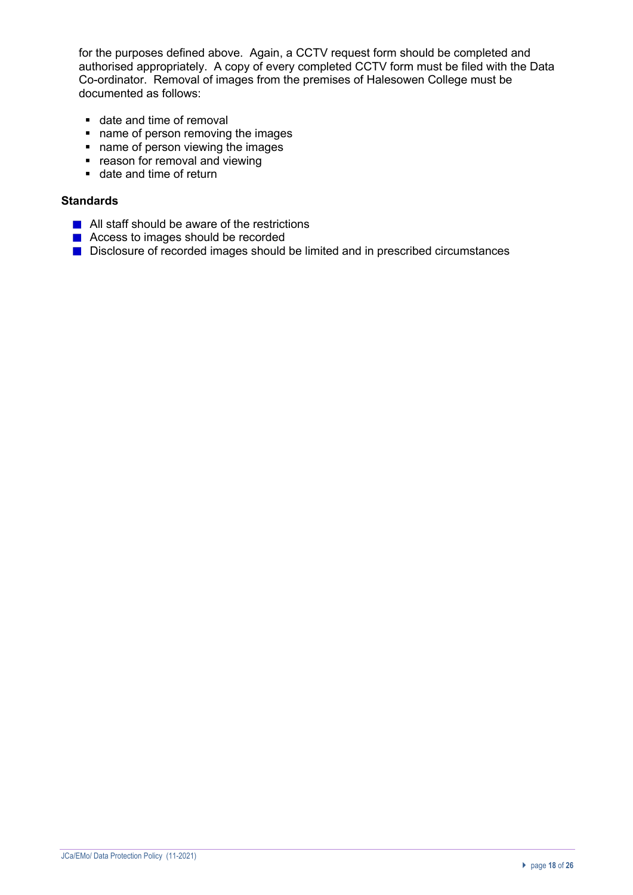for the purposes defined above. Again, a CCTV request form should be completed and authorised appropriately. A copy of every completed CCTV form must be filed with the Data Co-ordinator. Removal of images from the premises of Halesowen College must be documented as follows:

- date and time of removal
- name of person removing the images
- name of person viewing the images
- reason for removal and viewing
- date and time of return

#### **Standards**

- All staff should be aware of the restrictions
- Access to images should be recorded
- Disclosure of recorded images should be limited and in prescribed circumstances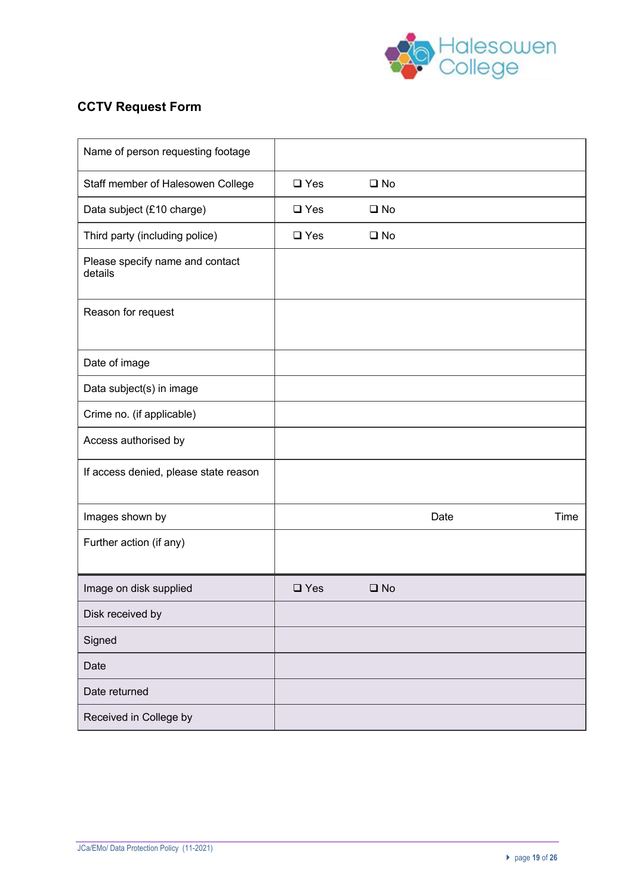

# **CCTV Request Form**

| Name of person requesting footage          |               |              |      |      |
|--------------------------------------------|---------------|--------------|------|------|
| Staff member of Halesowen College          | $\square$ Yes | $\square$ No |      |      |
| Data subject (£10 charge)                  | $\square$ Yes | $\square$ No |      |      |
| Third party (including police)             | $\square$ Yes | $\square$ No |      |      |
| Please specify name and contact<br>details |               |              |      |      |
| Reason for request                         |               |              |      |      |
| Date of image                              |               |              |      |      |
| Data subject(s) in image                   |               |              |      |      |
| Crime no. (if applicable)                  |               |              |      |      |
| Access authorised by                       |               |              |      |      |
| If access denied, please state reason      |               |              |      |      |
| Images shown by                            |               |              | Date | Time |
| Further action (if any)                    |               |              |      |      |
| Image on disk supplied                     | $\square$ Yes | $\square$ No |      |      |
| Disk received by                           |               |              |      |      |
| Signed                                     |               |              |      |      |
| Date                                       |               |              |      |      |
| Date returned                              |               |              |      |      |
| Received in College by                     |               |              |      |      |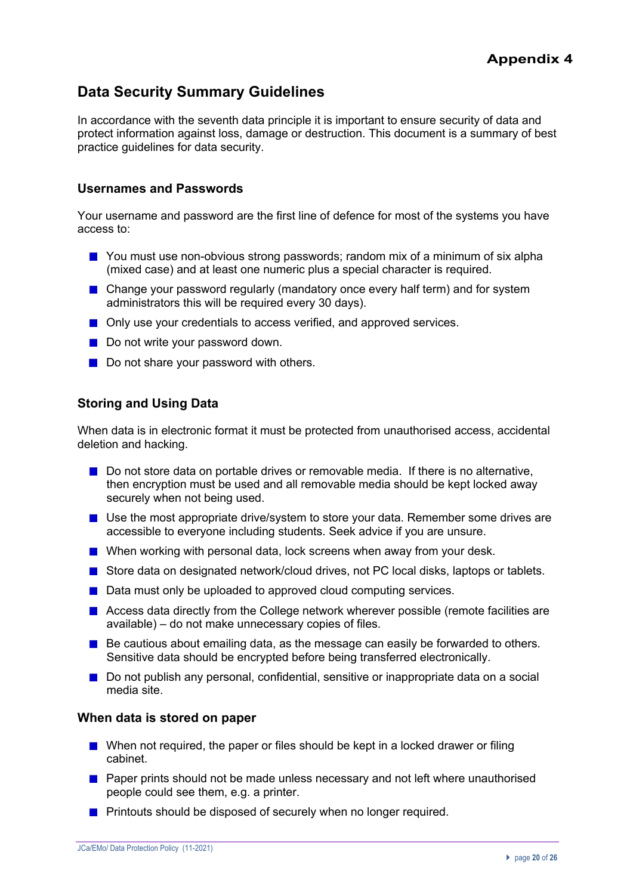# **Data Security Summary Guidelines**

In accordance with the seventh data principle it is important to ensure security of data and protect information against loss, damage or destruction. This document is a summary of best practice guidelines for data security.

### **Usernames and Passwords**

Your username and password are the first line of defence for most of the systems you have access to:

- You must use non-obvious strong passwords; random mix of a minimum of six alpha (mixed case) and at least one numeric plus a special character is required.
- Change your password regularly (mandatory once every half term) and for system administrators this will be required every 30 days).
- Only use your credentials to access verified, and approved services.
- Do not write your password down.
- Do not share your password with others.

## **Storing and Using Data**

When data is in electronic format it must be protected from unauthorised access, accidental deletion and hacking.

- Do not store data on portable drives or removable media. If there is no alternative, then encryption must be used and all removable media should be kept locked away securely when not being used.
- Use the most appropriate drive/system to store your data. Remember some drives are accessible to everyone including students. Seek advice if you are unsure.
- When working with personal data, lock screens when away from your desk.
- Store data on designated network/cloud drives, not PC local disks, laptops or tablets.
- Data must only be uploaded to approved cloud computing services.
- Access data directly from the College network wherever possible (remote facilities are available) – do not make unnecessary copies of files.
- $\blacksquare$  Be cautious about emailing data, as the message can easily be forwarded to others. Sensitive data should be encrypted before being transferred electronically.
- Do not publish any personal, confidential, sensitive or inappropriate data on a social media site.

#### **When data is stored on paper**

- When not required, the paper or files should be kept in a locked drawer or filing cabinet.
- **Paper prints should not be made unless necessary and not left where unauthorised** people could see them, e.g. a printer.
- **Printouts should be disposed of securely when no longer required.**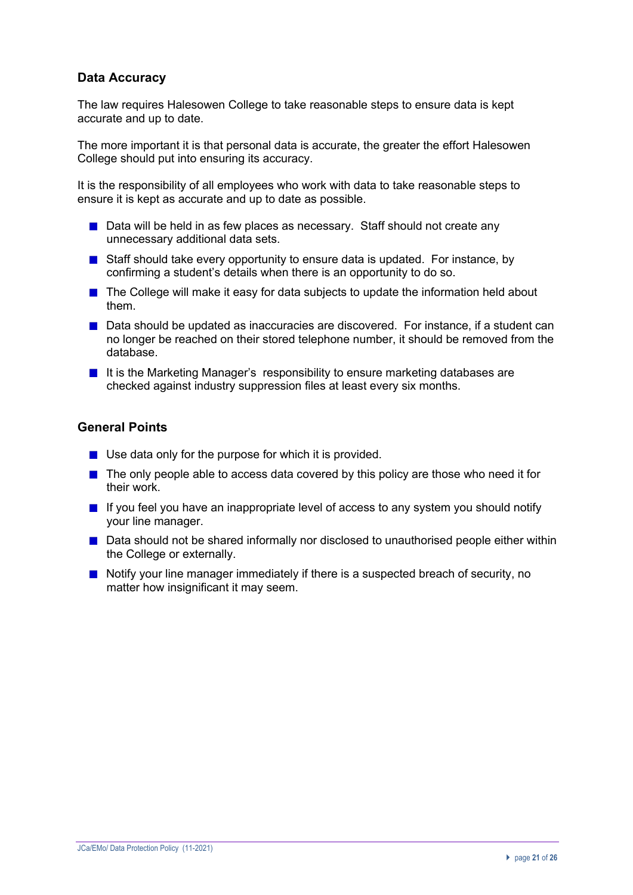# **Data Accuracy**

The law requires Halesowen College to take reasonable steps to ensure data is kept accurate and up to date.

The more important it is that personal data is accurate, the greater the effort Halesowen College should put into ensuring its accuracy.

It is the responsibility of all employees who work with data to take reasonable steps to ensure it is kept as accurate and up to date as possible.

- Data will be held in as few places as necessary. Staff should not create any unnecessary additional data sets.
- **Staff should take every opportunity to ensure data is updated. For instance, by** confirming a student's details when there is an opportunity to do so.
- The College will make it easy for data subjects to update the information held about them.
- Data should be updated as inaccuracies are discovered. For instance, if a student can no longer be reached on their stored telephone number, it should be removed from the database.
- If is the Marketing Manager's responsibility to ensure marketing databases are checked against industry suppression files at least every six months.

## **General Points**

- $\blacksquare$  Use data only for the purpose for which it is provided.
- $\blacksquare$  The only people able to access data covered by this policy are those who need it for their work.
- $\blacksquare$  If you feel you have an inappropriate level of access to any system you should notify your line manager.
- Data should not be shared informally nor disclosed to unauthorised people either within the College or externally.
- Notify your line manager immediately if there is a suspected breach of security, no matter how insignificant it may seem.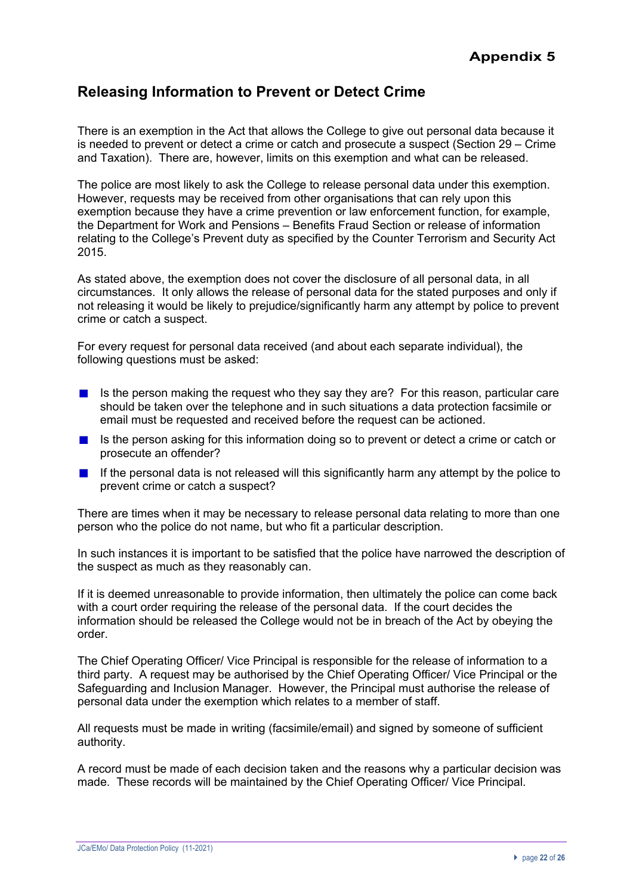# **Releasing Information to Prevent or Detect Crime**

There is an exemption in the Act that allows the College to give out personal data because it is needed to prevent or detect a crime or catch and prosecute a suspect (Section 29 – Crime and Taxation). There are, however, limits on this exemption and what can be released.

The police are most likely to ask the College to release personal data under this exemption. However, requests may be received from other organisations that can rely upon this exemption because they have a crime prevention or law enforcement function, for example, the Department for Work and Pensions – Benefits Fraud Section or release of information relating to the College's Prevent duty as specified by the Counter Terrorism and Security Act 2015.

As stated above, the exemption does not cover the disclosure of all personal data, in all circumstances. It only allows the release of personal data for the stated purposes and only if not releasing it would be likely to prejudice/significantly harm any attempt by police to prevent crime or catch a suspect.

For every request for personal data received (and about each separate individual), the following questions must be asked:

- Is the person making the request who they say they are? For this reason, particular care should be taken over the telephone and in such situations a data protection facsimile or email must be requested and received before the request can be actioned.
- Is the person asking for this information doing so to prevent or detect a crime or catch or **Contract Contract** prosecute an offender?
- If the personal data is not released will this significantly harm any attempt by the police to **Contract** prevent crime or catch a suspect?

There are times when it may be necessary to release personal data relating to more than one person who the police do not name, but who fit a particular description.

In such instances it is important to be satisfied that the police have narrowed the description of the suspect as much as they reasonably can.

If it is deemed unreasonable to provide information, then ultimately the police can come back with a court order requiring the release of the personal data. If the court decides the information should be released the College would not be in breach of the Act by obeying the order.

The Chief Operating Officer/ Vice Principal is responsible for the release of information to a third party. A request may be authorised by the Chief Operating Officer/ Vice Principal or the Safeguarding and Inclusion Manager. However, the Principal must authorise the release of personal data under the exemption which relates to a member of staff.

All requests must be made in writing (facsimile/email) and signed by someone of sufficient authority.

A record must be made of each decision taken and the reasons why a particular decision was made. These records will be maintained by the Chief Operating Officer/ Vice Principal.

JCa/EMo/ Data Protection Policy (11-2021)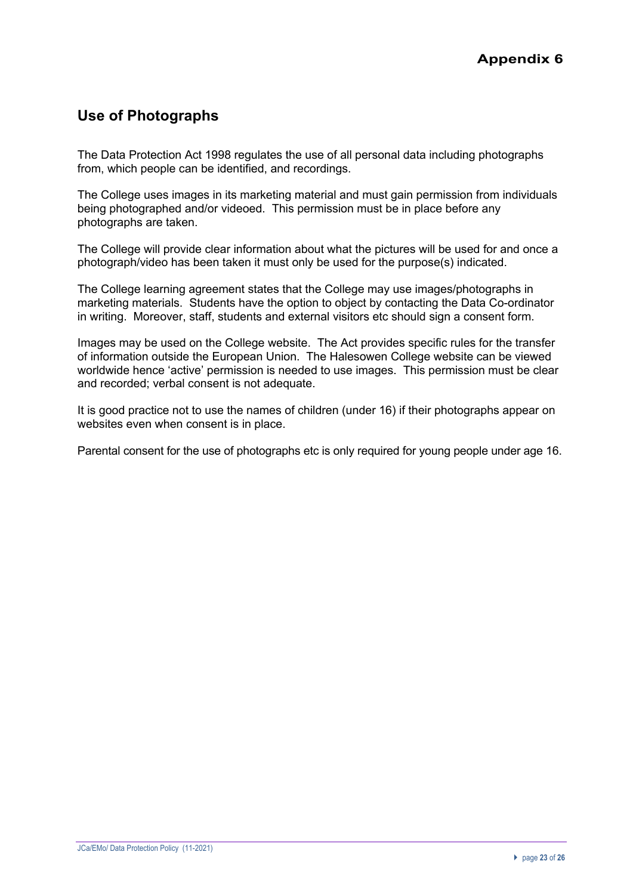# **Use of Photographs**

The Data Protection Act 1998 regulates the use of all personal data including photographs from, which people can be identified, and recordings.

The College uses images in its marketing material and must gain permission from individuals being photographed and/or videoed. This permission must be in place before any photographs are taken.

The College will provide clear information about what the pictures will be used for and once a photograph/video has been taken it must only be used for the purpose(s) indicated.

The College learning agreement states that the College may use images/photographs in marketing materials. Students have the option to object by contacting the Data Co-ordinator in writing. Moreover, staff, students and external visitors etc should sign a consent form.

Images may be used on the College website. The Act provides specific rules for the transfer of information outside the European Union. The Halesowen College website can be viewed worldwide hence 'active' permission is needed to use images. This permission must be clear and recorded; verbal consent is not adequate.

It is good practice not to use the names of children (under 16) if their photographs appear on websites even when consent is in place.

Parental consent for the use of photographs etc is only required for young people under age 16.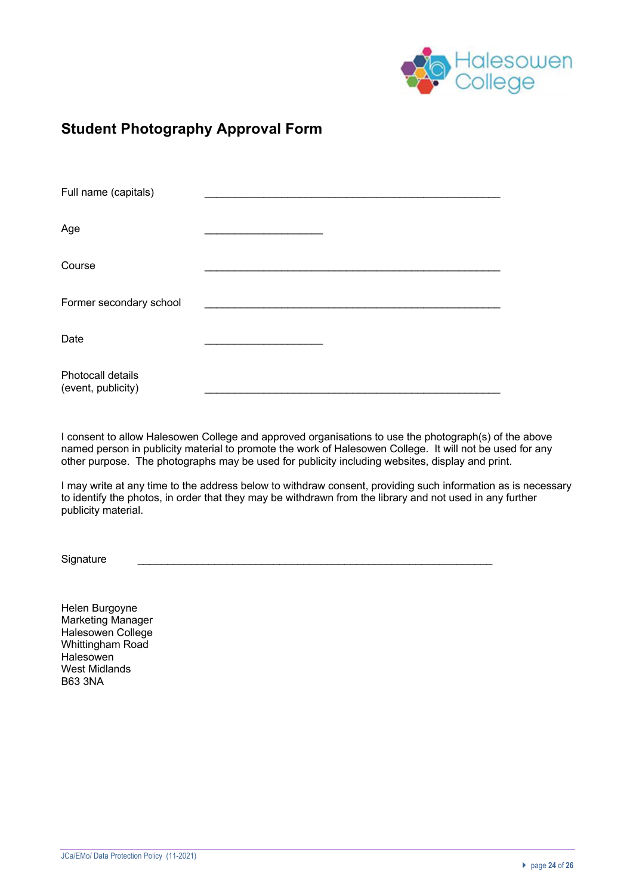

# **Student Photography Approval Form**

| Full name (capitals)                    |  |
|-----------------------------------------|--|
| Age                                     |  |
| Course                                  |  |
| Former secondary school                 |  |
| Date                                    |  |
| Photocall details<br>(event, publicity) |  |

I consent to allow Halesowen College and approved organisations to use the photograph(s) of the above named person in publicity material to promote the work of Halesowen College. It will not be used for any other purpose. The photographs may be used for publicity including websites, display and print.

I may write at any time to the address below to withdraw consent, providing such information as is necessary to identify the photos, in order that they may be withdrawn from the library and not used in any further publicity material.

Signature

Helen Burgoyne Marketing Manager Halesowen College Whittingham Road Halesowen West Midlands B63 3NA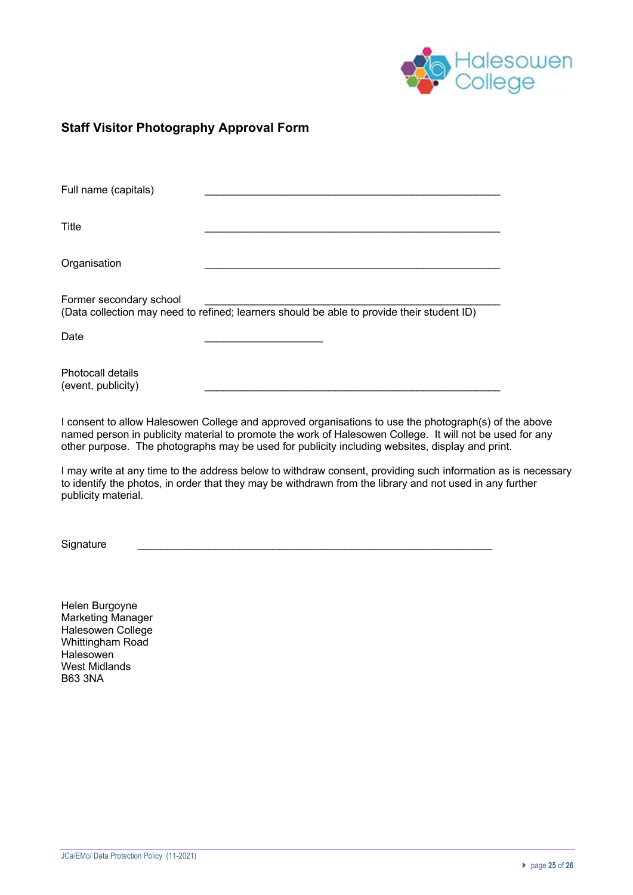

# **Staff Visitor Photography Approval Form**

| Full name (capitals)                    |                                                                                            |
|-----------------------------------------|--------------------------------------------------------------------------------------------|
| Title                                   |                                                                                            |
| Organisation                            |                                                                                            |
| Former secondary school                 | (Data collection may need to refined; learners should be able to provide their student ID) |
| Date                                    |                                                                                            |
| Photocall details<br>(event, publicity) |                                                                                            |

I consent to allow Halesowen College and approved organisations to use the photograph(s) of the above named person in publicity material to promote the work of Halesowen College. It will not be used for any other purpose. The photographs may be used for publicity including websites, display and print.

I may write at any time to the address below to withdraw consent, providing such information as is necessary to identify the photos, in order that they may be withdrawn from the library and not used in any further publicity material.

Signature

Helen Burgoyne Marketing Manager Halesowen College Whittingham Road **Halesowen** West Midlands B63 3NA